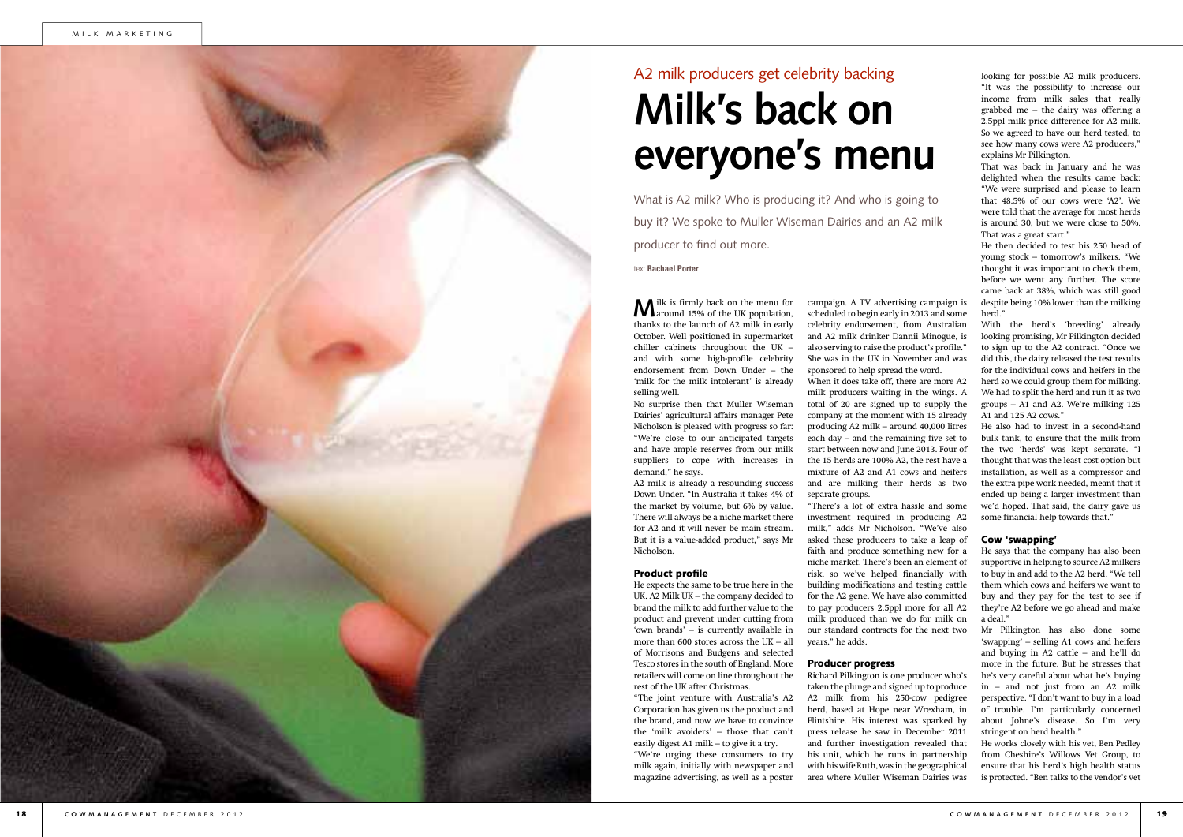# A2 milk producers get celebrity backing **Milk's back on everyone's menu**

What is A2 milk? Who is producing it? And who is going to buy it? We spoke to Muller Wiseman Dairies and an A2 milk producer to find out more.

text **Rachael Porter**

**M**ilk is firmly back on the menu for around 15% of the UK population, thanks to the launch of A2 milk in early October. Well positioned in supermarket chiller cabinets throughout the UK – and with some high-profile celebrity endorsement from Down Under – the 'milk for the milk intolerant' is already selling well.

No surprise then that Muller Wiseman Dairies' agricultural affairs manager Pete Nicholson is pleased with progress so far: "We're close to our anticipated targets and have ample reserves from our milk suppliers to cope with increases in demand," he says.

A2 milk is already a resounding success Down Under. "In Australia it takes 4% of the market by volume, but 6% by value. There will always be a niche market there for A2 and it will never be main stream. But it is a value-added product," says Mr Nicholson.

### Product profile

He expects the same to be true here in the UK. A2 Milk UK – the company decided to brand the milk to add further value to the product and prevent under cutting from 'own brands' – is currently available in more than 600 stores across the UK – all of Morrisons and Budgens and selected Tesco stores in the south of England. More retailers will come on line throughout the rest of the UK after Christmas.

"The joint venture with Australia's A2 Corporation has given us the product and the brand, and now we have to convince the 'milk avoiders' – those that can't easily digest A1 milk – to give it a try. "We're urging these consumers to try milk again, initially with newspaper and magazine advertising, as well as a poster

campaign. A TV advertising campaign is scheduled to begin early in 2013 and some celebrity endorsement, from Australian and A2 milk drinker Dannii Minogue, is also serving to raise the product's profile." She was in the UK in November and was sponsored to help spread the word. When it does take off, there are more A2 milk producers waiting in the wings. A total of 20 are signed up to supply the company at the moment with 15 already producing A2 milk – around 40,000 litres each day – and the remaining five set to start between now and June 2013. Four of the 15 herds are 100% A2, the rest have a mixture of A2 and A1 cows and heifers and are milking their herds as two separate groups.

"There's a lot of extra hassle and some investment required in producing A2 milk," adds Mr Nicholson. "We've also asked these producers to take a leap of faith and produce something new for a niche market. There's been an element of risk, so we've helped financially with building modifications and testing cattle for the A2 gene. We have also committed to pay producers 2.5ppl more for all A2 milk produced than we do for milk on our standard contracts for the next two years," he adds.

# Producer progress

Richard Pilkington is one producer who's taken the plunge and signed up to produce A2 milk from his 250-cow pedigree herd, based at Hope near Wrexham, in Flintshire. His interest was sparked by press release he saw in December 2011 and further investigation revealed that his unit, which he runs in partnership with his wife Ruth, was in the geographical area where Muller Wiseman Dairies was

looking for possible A2 milk producers. "It was the possibility to increase our income from milk sales that really grabbed me – the dairy was offering a 2.5ppl milk price difference for A2 milk. So we agreed to have our herd tested, to see how many cows were A2 producers," explains Mr Pilkington.

That was back in January and he was delighted when the results came back: "We were surprised and please to learn that 48.5% of our cows were 'A2'. We were told that the average for most herds is around 30, but we were close to 50%. That was a great start."

He then decided to test his 250 head of young stock – tomorrow's milkers. "We thought it was important to check them, before we went any further. The score came back at 38%, which was still good despite being 10% lower than the milking herd."

With the herd's 'breeding' already looking promising, Mr Pilkington decided to sign up to the A2 contract. "Once we did this, the dairy released the test results for the individual cows and heifers in the herd so we could group them for milking. We had to split the herd and run it as two groups – A1 and A2. We're milking 125 A1 and 125 A2 cows."

He also had to invest in a second-hand bulk tank, to ensure that the milk from the two 'herds' was kept separate. "I thought that was the least cost option but installation, as well as a compressor and the extra pipe work needed, meant that it ended up being a larger investment than we'd hoped. That said, the dairy gave us some financial help towards that."

### Cow 'swapping'

He says that the company has also been supportive in helping to source A2 milkers to buy in and add to the A2 herd. "We tell them which cows and heifers we want to buy and they pay for the test to see if they're A2 before we go ahead and make a deal."

Mr Pilkington has also done some 'swapping' – selling A1 cows and heifers and buying in A2 cattle – and he'll do more in the future. But he stresses that he's very careful about what he's buying in – and not just from an A2 milk perspective. "I don't want to buy in a load of trouble. I'm particularly concerned about Johne's disease. So I'm very stringent on herd health."

He works closely with his vet, Ben Pedley from Cheshire's Willows Vet Group, to ensure that his herd's high health status is protected. "Ben talks to the vendor's vet